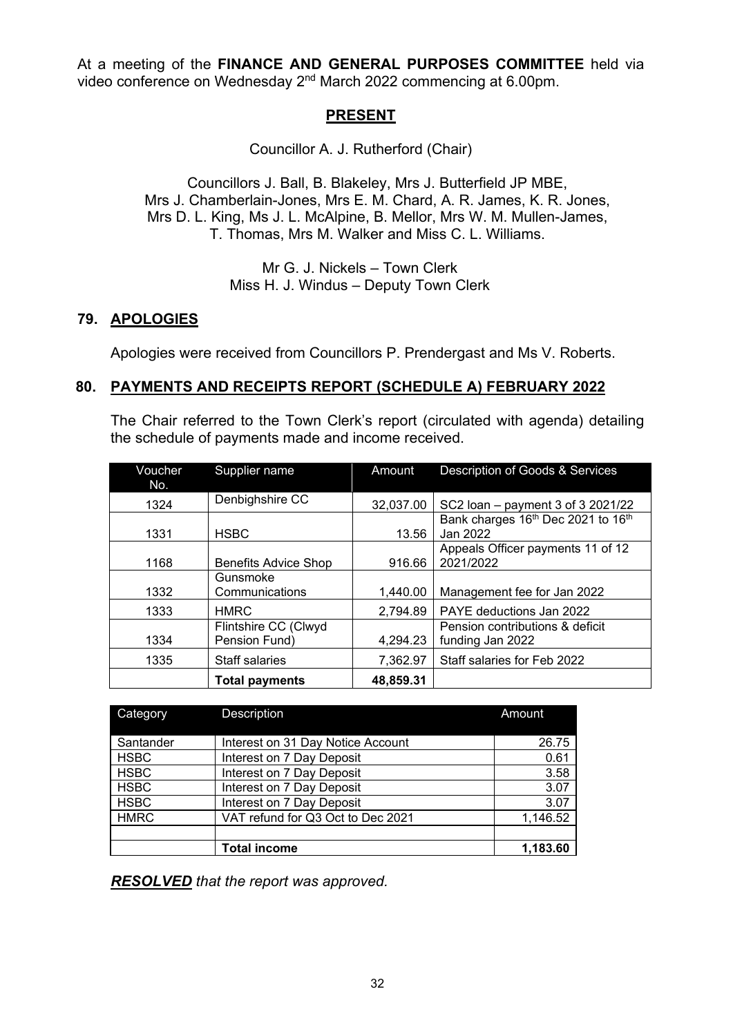At a meeting of the **FINANCE AND GENERAL PURPOSES COMMITTEE** held via video conference on Wednesday 2nd March 2022 commencing at 6.00pm.

# **PRESENT**

Councillor A. J. Rutherford (Chair)

Councillors J. Ball, B. Blakeley, Mrs J. Butterfield JP MBE, Mrs J. Chamberlain-Jones, Mrs E. M. Chard, A. R. James, K. R. Jones, Mrs D. L. King, Ms J. L. McAlpine, B. Mellor, Mrs W. M. Mullen-James, T. Thomas, Mrs M. Walker and Miss C. L. Williams.

> Mr G. J. Nickels – Town Clerk Miss H. J. Windus – Deputy Town Clerk

#### **79. APOLOGIES**

Apologies were received from Councillors P. Prendergast and Ms V. Roberts.

#### **80. PAYMENTS AND RECEIPTS REPORT (SCHEDULE A) FEBRUARY 2022**

The Chair referred to the Town Clerk's report (circulated with agenda) detailing the schedule of payments made and income received.

| Voucher | Supplier name                         | Amount    | Description of Goods & Services                     |  |
|---------|---------------------------------------|-----------|-----------------------------------------------------|--|
| No.     |                                       |           |                                                     |  |
| 1324    | Denbighshire CC                       | 32,037.00 | SC2 loan – payment 3 of 3 2021/22                   |  |
| 1331    | <b>HSBC</b>                           | 13.56     | Bank charges 16th Dec 2021 to 16th<br>Jan 2022      |  |
| 1168    | <b>Benefits Advice Shop</b>           | 916.66    | Appeals Officer payments 11 of 12<br>2021/2022      |  |
| 1332    | Gunsmoke<br>Communications            | 1,440.00  | Management fee for Jan 2022                         |  |
| 1333    | <b>HMRC</b>                           | 2,794.89  | PAYE deductions Jan 2022                            |  |
| 1334    | Flintshire CC (Clwyd<br>Pension Fund) | 4,294.23  | Pension contributions & deficit<br>funding Jan 2022 |  |
| 1335    | Staff salaries                        | 7,362.97  | Staff salaries for Feb 2022                         |  |
|         | <b>Total payments</b>                 | 48,859.31 |                                                     |  |

| Category    | <b>Description</b>                | Amount   |
|-------------|-----------------------------------|----------|
| Santander   | Interest on 31 Day Notice Account | 26.75    |
| <b>HSBC</b> | Interest on 7 Day Deposit         | 0.61     |
| <b>HSBC</b> | Interest on 7 Day Deposit         | 3.58     |
| <b>HSBC</b> | Interest on 7 Day Deposit         | 3.07     |
| <b>HSBC</b> | Interest on 7 Day Deposit         | 3.07     |
| <b>HMRC</b> | VAT refund for Q3 Oct to Dec 2021 | 1,146.52 |
|             |                                   |          |
|             | <b>Total income</b>               | 1.183.60 |

*RESOLVED that the report was approved.*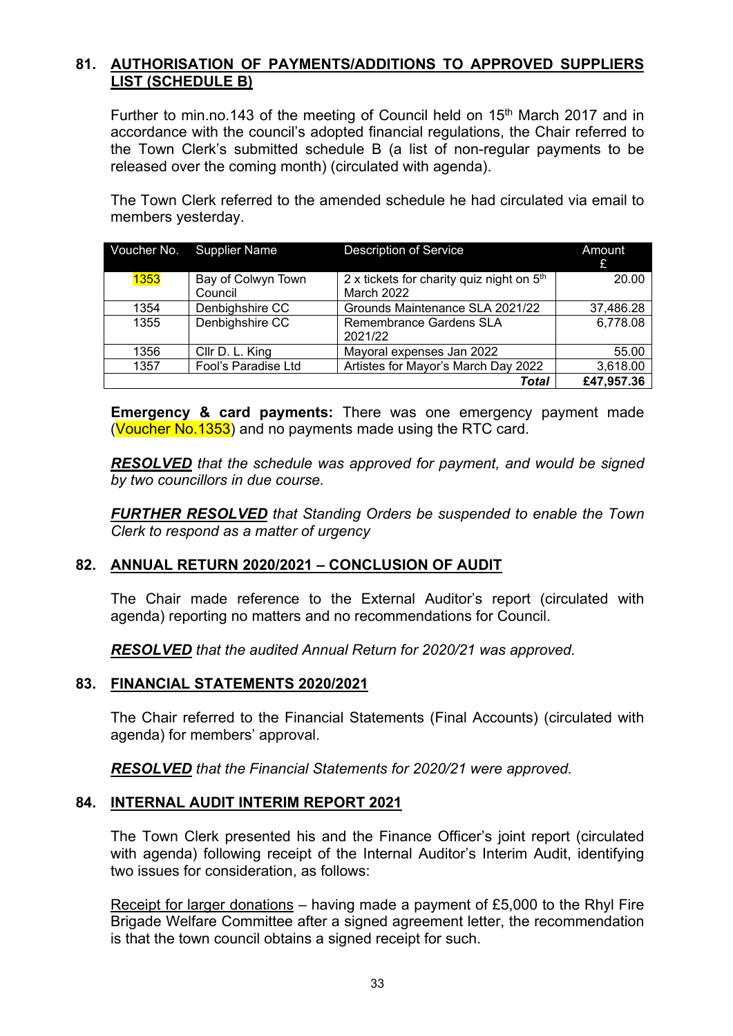# **81. AUTHORISATION OF PAYMENTS/ADDITIONS TO APPROVED SUPPLIERS LIST (SCHEDULE B)**

Further to min.no.143 of the meeting of Council held on 15<sup>th</sup> March 2017 and in accordance with the council's adopted financial regulations, the Chair referred to the Town Clerk's submitted schedule B (a list of non-regular payments to be released over the coming month) (circulated with agenda).

The Town Clerk referred to the amended schedule he had circulated via email to members yesterday.

|             | Voucher No. Supplier Name | <b>Description of Service</b>                         | Amount<br>£ |
|-------------|---------------------------|-------------------------------------------------------|-------------|
| <b>1353</b> | Bay of Colwyn Town        | 2 x tickets for charity quiz night on 5 <sup>th</sup> | 20.00       |
|             | Council                   | <b>March 2022</b>                                     |             |
| 1354        | Denbighshire CC           | Grounds Maintenance SLA 2021/22                       | 37,486.28   |
| 1355        | Denbighshire CC           | <b>Remembrance Gardens SLA</b>                        | 6,778.08    |
|             |                           | 2021/22                                               |             |
| 1356        | Cllr D. L. King           | Mayoral expenses Jan 2022                             | 55.00       |
| 1357        | Fool's Paradise Ltd       | Artistes for Mayor's March Day 2022                   | 3,618.00    |
|             |                           | Total                                                 | £47,957.36  |

**Emergency & card payments:** There was one emergency payment made (Voucher No.1353) and no payments made using the RTC card.

*RESOLVED that the schedule was approved for payment, and would be signed by two councillors in due course.*

*FURTHER RESOLVED that Standing Orders be suspended to enable the Town Clerk to respond as a matter of urgency*

# **82. ANNUAL RETURN 2020/2021 – CONCLUSION OF AUDIT**

The Chair made reference to the External Auditor's report (circulated with agenda) reporting no matters and no recommendations for Council.

*RESOLVED that the audited Annual Return for 2020/21 was approved.*

#### **83. FINANCIAL STATEMENTS 2020/2021**

The Chair referred to the Financial Statements (Final Accounts) (circulated with agenda) for members' approval.

*RESOLVED that the Financial Statements for 2020/21 were approved.*

#### **84. INTERNAL AUDIT INTERIM REPORT 2021**

The Town Clerk presented his and the Finance Officer's joint report (circulated with agenda) following receipt of the Internal Auditor's Interim Audit, identifying two issues for consideration, as follows:

Receipt for larger donations – having made a payment of £5,000 to the Rhyl Fire Brigade Welfare Committee after a signed agreement letter, the recommendation is that the town council obtains a signed receipt for such.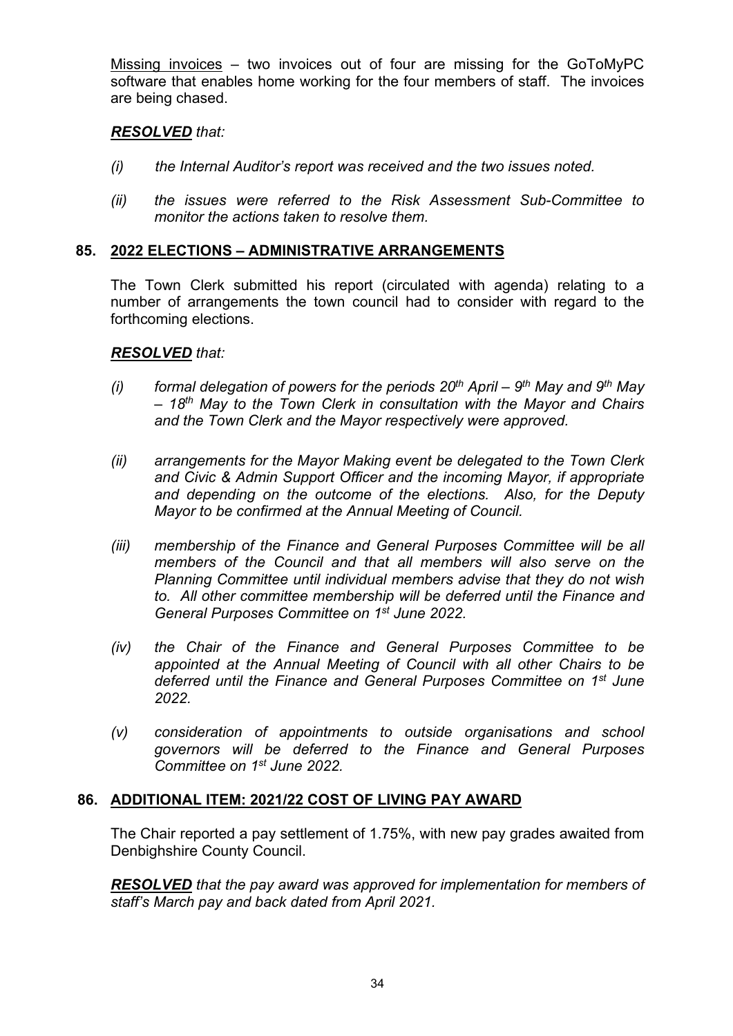Missing invoices – two invoices out of four are missing for the GoToMyPC software that enables home working for the four members of staff. The invoices are being chased.

### *RESOLVED that:*

- *(i) the Internal Auditor's report was received and the two issues noted.*
- *(ii) the issues were referred to the Risk Assessment Sub-Committee to monitor the actions taken to resolve them.*

# **85. 2022 ELECTIONS – ADMINISTRATIVE ARRANGEMENTS**

The Town Clerk submitted his report (circulated with agenda) relating to a number of arrangements the town council had to consider with regard to the forthcoming elections.

# *RESOLVED that:*

- *(i) formal delegation of powers for the periods 20th April – 9th May and 9th May – 18th May to the Town Clerk in consultation with the Mayor and Chairs and the Town Clerk and the Mayor respectively were approved.*
- *(ii) arrangements for the Mayor Making event be delegated to the Town Clerk and Civic & Admin Support Officer and the incoming Mayor, if appropriate and depending on the outcome of the elections. Also, for the Deputy Mayor to be confirmed at the Annual Meeting of Council.*
- *(iii) membership of the Finance and General Purposes Committee will be all members of the Council and that all members will also serve on the Planning Committee until individual members advise that they do not wish to. All other committee membership will be deferred until the Finance and General Purposes Committee on 1st June 2022.*
- *(iv) the Chair of the Finance and General Purposes Committee to be appointed at the Annual Meeting of Council with all other Chairs to be deferred until the Finance and General Purposes Committee on 1st June 2022.*
- *(v) consideration of appointments to outside organisations and school governors will be deferred to the Finance and General Purposes Committee on 1st June 2022.*

#### **86. ADDITIONAL ITEM: 2021/22 COST OF LIVING PAY AWARD**

The Chair reported a pay settlement of 1.75%, with new pay grades awaited from Denbighshire County Council.

*RESOLVED that the pay award was approved for implementation for members of staff's March pay and back dated from April 2021.*